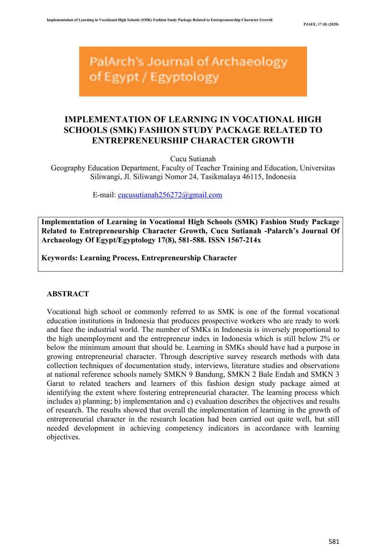PalArch's Journal of Archaeology of Egypt / Egyptology

# **IMPLEMENTATION OF LEARNING IN VOCATIONAL HIGH SCHOOLS (SMK) FASHION STUDY PACKAGE RELATED TO ENTREPRENEURSHIP CHARACTER GROWTH**

Cucu Sutianah

Geography Education Department, Faculty of Teacher Training and Education, Universitas Siliwangi, Jl. Siliwangi Nomor 24, Tasikmalaya 46115, Indonesia

E-mail: cucusutianah256272@gmail.com

**Implementation of Learning in Vocational High Schools (SMK) Fashion Study Package Related to Entrepreneurship Character Growth, Cucu Sutianah -Palarch's Journal Of Archaeology Of Egypt/Egyptology 17(8), 581-588. ISSN 1567-214x**

**Keywords: Learning Process, Entrepreneurship Character**

# **ABSTRACT**

Vocational high school or commonly referred to as SMK is one of the formal vocational education institutions in Indonesia that produces prospective workers who are ready to work and face the industrial world. The number of SMKs in Indonesia is inversely proportional to the high unemployment and the entrepreneur index in Indonesia which is still below 2% or below the minimum amount that should be. Learning in SMKs should have had a purpose in growing entrepreneurial character. Through descriptive survey research methods with data collection techniques of documentation study, interviews, literature studies and observations at national reference schools namely SMKN 9 Bandung, SMKN 2 Bale Endah and SMKN 3 Garut to related teachers and learners of this fashion design study package aimed at identifying the extent where fostering entrepreneurial character. The learning process which includes a) planning; b) implementation and c) evaluation describes the objectives and results of research. The results showed that overall the implementation of learning in the growth of entrepreneurial character in the research location had been carried out quite well, but still needed development in achieving competency indicators in accordance with learning objectives.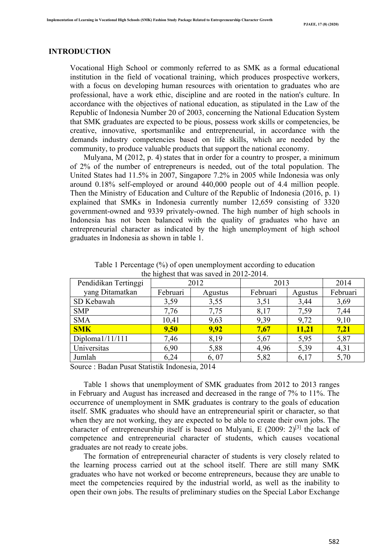# **INTRODUCTION**

Vocational High School or commonly referred to as SMK as a formal educational institution in the field of vocational training, which produces prospective workers, with a focus on developing human resources with orientation to graduates who are professional, have a work ethic, discipline and are rooted in the nation's culture. In accordance with the objectives of national education, as stipulated in the Law of the Republic of Indonesia Number 20 of 2003, concerning the National Education System that SMK graduates are expected to be pious, possess work skills or competencies, be creative, innovative, sportsmanlike and entrepreneurial, in accordance with the demands industry competencies based on life skills, which are needed by the community, to produce valuable products that support the national economy.

 Mulyana, M (2012, p. 4) states that in order for a country to prosper, a minimum of 2% of the number of entrepreneurs is needed, out of the total population. The United States had 11.5% in 2007, Singapore 7.2% in 2005 while Indonesia was only around 0.18% self-employed or around 440,000 people out of 4.4 million people. Then the Ministry of Education and Culture of the Republic of Indonesia (2016, p. 1) explained that SMKs in Indonesia currently number 12,659 consisting of 3320 government-owned and 9339 privately-owned. The high number of high schools in Indonesia has not been balanced with the quality of graduates who have an entrepreneurial character as indicated by the high unemployment of high school graduates in Indonesia as shown in table 1.

| $\mu$ and $\mu$ and $\mu$ and $\mu$ and $\mu$ and $\mu$ and $\mu$ and $\mu$ and $\mu$ and $\mu$ and $\mu$ and $\mu$ and $\mu$ and $\mu$ and $\mu$ and $\mu$ and $\mu$ and $\mu$ and $\mu$ and $\mu$ and $\mu$ and $\mu$ and $\mu$ and $\mu$ and $\mu$ |          |         |          |              |          |
|-------------------------------------------------------------------------------------------------------------------------------------------------------------------------------------------------------------------------------------------------------|----------|---------|----------|--------------|----------|
| Pendidikan Tertinggi                                                                                                                                                                                                                                  | 2012     |         | 2013     |              | 2014     |
| yang Ditamatkan                                                                                                                                                                                                                                       | Februari | Agustus | Februari | Agustus      | Februari |
| SD Kebawah                                                                                                                                                                                                                                            | 3,59     | 3,55    | 3,51     | 3,44         | 3,69     |
| <b>SMP</b>                                                                                                                                                                                                                                            | 7,76     | 7,75    | 8,17     | 7,59         | 7,44     |
| <b>SMA</b>                                                                                                                                                                                                                                            | 10,41    | 9,63    | 9,39     | 9,72         | 9,10     |
| <b>SMK</b>                                                                                                                                                                                                                                            | 9,50     | 9,92    | 7,67     | <b>11,21</b> | 7,21     |
| Diploma $1/11/111$                                                                                                                                                                                                                                    | 7,46     | 8,19    | 5,67     | 5,95         | 5,87     |
| Universitas                                                                                                                                                                                                                                           | 6,90     | 5,88    | 4,96     | 5,39         | 4,31     |
| Jumlah                                                                                                                                                                                                                                                | 6,24     | 6,07    | 5,82     | 6,17         | 5,70     |
| Corner : Dedou Dress Chatistile Indonesia, 2014                                                                                                                                                                                                       |          |         |          |              |          |

Table 1 Percentage (%) of open unemployment according to education the highest that was saved in 2012-2014.

Source : Badan Pusat Statistik Indonesia, 2014

 Table 1 shows that unemployment of SMK graduates from 2012 to 2013 ranges in February and August has increased and decreased in the range of 7% to 11%. The occurrence of unemployment in SMK graduates is contrary to the goals of education itself. SMK graduates who should have an entrepreneurial spirit or character, so that when they are not working, they are expected to be able to create their own jobs. The character of entrepreneurship itself is based on Mulyani, E  $(2009: 2)^{[3]}$  the lack of competence and entrepreneurial character of students, which causes vocational graduates are not ready to create jobs.

 The formation of entrepreneurial character of students is very closely related to the learning process carried out at the school itself. There are still many SMK graduates who have not worked or become entrepreneurs, because they are unable to meet the competencies required by the industrial world, as well as the inability to open their own jobs. The results of preliminary studies on the Special Labor Exchange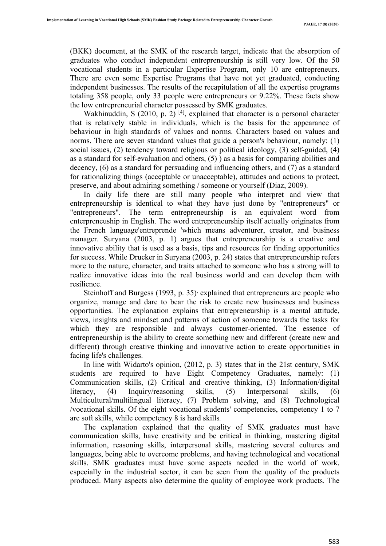(BKK) document, at the SMK of the research target, indicate that the absorption of graduates who conduct independent entrepreneurship is still very low. Of the 50 vocational students in a particular Expertise Program, only 10 are entrepreneurs. There are even some Expertise Programs that have not yet graduated, conducting independent businesses. The results of the recapitulation of all the expertise programs totaling 358 people, only 33 people were entrepreneurs or 9.22%. These facts show the low entrepreneurial character possessed by SMK graduates.

Wakhinuddin, S (2010, p. 2)  $[4]$ , explained that character is a personal character that is relatively stable in individuals, which is the basis for the appearance of behaviour in high standards of values and norms. Characters based on values and norms. There are seven standard values that guide a person's behaviour, namely: (1) social issues, (2) tendency toward religious or political ideology, (3) self-guided, (4) as a standard for self-evaluation and others, (5) ) as a basis for comparing abilities and decency, (6) as a standard for persuading and influencing others, and (7) as a standard for rationalizing things (acceptable or unacceptable), attitudes and actions to protect, preserve, and about admiring something / someone or yourself (Diaz, 2009).

 In daily life there are still many people who interpret and view that entrepreneurship is identical to what they have just done by "entrepreneurs" or "entrepreneurs". The term entrepreneurship is an equivalent word from enterpreneuship in English. The word entrepreneurship itself actually originates from the French language'entreprende 'which means adventurer, creator, and business manager. Suryana (2003, p. 1) argues that entrepreneurship is a creative and innovative ability that is used as a basis, tips and resources for finding opportunities for success. While Drucker in Suryana (2003, p. 24) states that entrepreneurship refers more to the nature, character, and traits attached to someone who has a strong will to realize innovative ideas into the real business world and can develop them with resilience.

Steinhoff and Burgess  $(1993, p. 35)$  explained that entrepreneurs are people who organize, manage and dare to bear the risk to create new businesses and business opportunities. The explanation explains that entrepreneurship is a mental attitude, views, insights and mindset and patterns of action of someone towards the tasks for which they are responsible and always customer-oriented. The essence of entrepreneurship is the ability to create something new and different (create new and different) through creative thinking and innovative action to create opportunities in facing life's challenges.

 In line with Widarto's opinion, (2012, p. 3) states that in the 21st century, SMK students are required to have Eight Competency Graduates, namely: (1) Communication skills, (2) Critical and creative thinking, (3) Information/digital literacy, (4) Inquiry/reasoning skills, (5) Interpersonal skills, (6) Multicultural/multilingual literacy, (7) Problem solving, and (8) Technological /vocational skills. Of the eight vocational students' competencies, competency 1 to 7 are soft skills, while competency 8 is hard skills*.* 

 The explanation explained that the quality of SMK graduates must have communication skills, have creativity and be critical in thinking, mastering digital information, reasoning skills, interpersonal skills, mastering several cultures and languages, being able to overcome problems, and having technological and vocational skills. SMK graduates must have some aspects needed in the world of work, especially in the industrial sector, it can be seen from the quality of the products produced. Many aspects also determine the quality of employee work products. The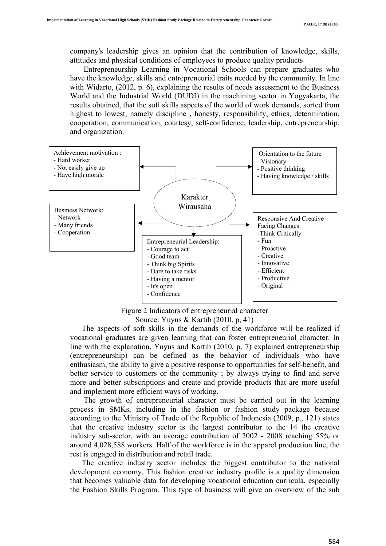company's leadership gives an opinion that the contribution of knowledge, skills, attitudes and physical conditions of employees to produce quality products

 Entrepreneurship Learning in Vocational Schools can prepare graduates who have the knowledge, skills and entrepreneurial traits needed by the community. In line with Widarto, (2012, p. 6), explaining the results of needs assessment to the Business World and the Industrial World (DUDI) in the machining sector in Yogyakarta, the results obtained, that the soft skills aspects of the world of work demands, sorted from highest to lowest, namely discipline , honesty, responsibility, ethics, determination, cooperation, communication, courtesy, self-confidence, leadership, entrepreneurship, and organization.



Figure 2 Indicators of entrepreneurial character Source: Yuyus & Kartib (2010, p, 41)

 The aspects of soft skills in the demands of the workforce will be realized if vocational graduates are given learning that can foster entrepreneurial character. In line with the explanation, Yuyus and Kartib (2010, p. 7) explained entrepreneurship (entrepreneurship) can be defined as the behavior of individuals who have enthusiasm, the ability to give a positive response to opportunities for self-benefit, and better service to customers or the community ; by always trying to find and serve more and better subscriptions and create and provide products that are more useful and implement more efficient ways of working.

 The growth of entrepreneurial character must be carried out in the learning process in SMKs, including in the fashion or fashion study package because according to the Ministry of Trade of the Republic of Indonesia (2009, p., 121) states that the creative industry sector is the largest contributor to the 14 the creative industry sub-sector, with an average contribution of 2002 - 2008 reaching 55% or around 4,028,588 workers. Half of the workforce is in the apparel production line, the rest is engaged in distribution and retail trade.

 The creative industry sector includes the biggest contributor to the national development economy. This fashion creative industry profile is a quality dimension that becomes valuable data for developing vocational education curricula, especially the Fashion Skills Program. This type of business will give an overview of the sub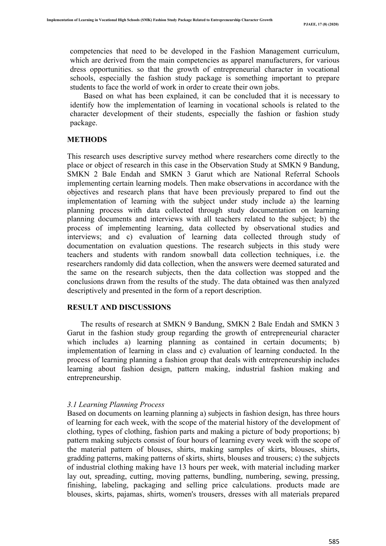competencies that need to be developed in the Fashion Management curriculum, which are derived from the main competencies as apparel manufacturers, for various dress opportunities. so that the growth of entrepreneurial character in vocational schools, especially the fashion study package is something important to prepare students to face the world of work in order to create their own jobs.

 Based on what has been explained, it can be concluded that it is necessary to identify how the implementation of learning in vocational schools is related to the character development of their students, especially the fashion or fashion study package.

# **METHODS**

This research uses descriptive survey method where researchers come directly to the place or object of research in this case in the Observation Study at SMKN 9 Bandung, SMKN 2 Bale Endah and SMKN 3 Garut which are National Referral Schools implementing certain learning models. Then make observations in accordance with the objectives and research plans that have been previously prepared to find out the implementation of learning with the subject under study include a) the learning planning process with data collected through study documentation on learning planning documents and interviews with all teachers related to the subject; b) the process of implementing learning, data collected by observational studies and interviews; and c) evaluation of learning data collected through study of documentation on evaluation questions. The research subjects in this study were teachers and students with random snowball data collection techniques, i.e. the researchers randomly did data collection, when the answers were deemed saturated and the same on the research subjects, then the data collection was stopped and the conclusions drawn from the results of the study. The data obtained was then analyzed descriptively and presented in the form of a report description.

### **RESULT AND DISCUSSIONS**

 The results of research at SMKN 9 Bandung, SMKN 2 Bale Endah and SMKN 3 Garut in the fashion study group regarding the growth of entrepreneurial character which includes a) learning planning as contained in certain documents; b) implementation of learning in class and c) evaluation of learning conducted. In the process of learning planning a fashion group that deals with entrepreneurship includes learning about fashion design, pattern making, industrial fashion making and entrepreneurship.

# *3.1 Learning Planning Process*

Based on documents on learning planning a) subjects in fashion design, has three hours of learning for each week, with the scope of the material history of the development of clothing, types of clothing, fashion parts and making a picture of body proportions; b) pattern making subjects consist of four hours of learning every week with the scope of the material pattern of blouses, shirts, making samples of skirts, blouses, shirts, gradding patterns, making patterns of skirts, shirts, blouses and trousers; c) the subjects of industrial clothing making have 13 hours per week, with material including marker lay out, spreading, cutting, moving patterns, bundling, numbering, sewing, pressing, finishing, labeling, packaging and selling price calculations. products made are blouses, skirts, pajamas, shirts, women's trousers, dresses with all materials prepared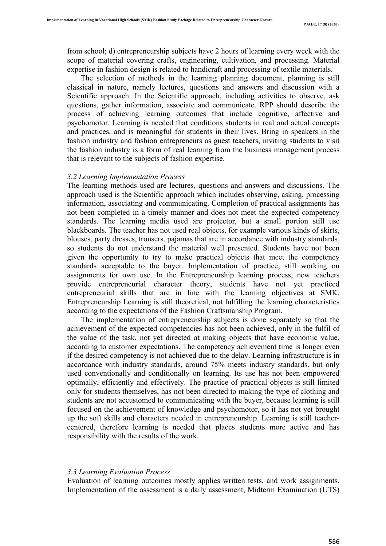from school; d) entrepreneurship subjects have 2 hours of learning every week with the scope of material covering crafts, engineering, cultivation, and processing. Material expertise in fashion design is related to handicraft and processing of textile materials.

 The selection of methods in the learning planning document, planning is still classical in nature, namely lectures, questions and answers and discussion with a Scientific approach. In the Scientific approach, including activities to observe, ask questions, gather information, associate and communicate. RPP should describe the process of achieving learning outcomes that include cognitive, affective and psychomotor. Learning is needed that conditions students in real and actual concepts and practices, and is meaningful for students in their lives. Bring in speakers in the fashion industry and fashion entrepreneurs as guest teachers, inviting students to visit the fashion industry is a form of real learning from the business management process that is relevant to the subjects of fashion expertise.

#### *3.2 Learning Implementation Process*

The learning methods used are lectures, questions and answers and discussions. The approach used is the Scientific approach which includes observing, asking, processing information, associating and communicating. Completion of practical assignments has not been completed in a timely manner and does not meet the expected competency standards. The learning media used are projector, but a small portion still use blackboards. The teacher has not used real objects, for example various kinds of skirts, blouses, party dresses, trousers, pajamas that are in accordance with industry standards, so students do not understand the material well presented. Students have not been given the opportunity to try to make practical objects that meet the competency standards acceptable to the buyer. Implementation of practice, still working on assignments for own use. In the Entrepreneurship learning process, new teachers provide entrepreneurial character theory, students have not yet practiced entrepreneurial skills that are in line with the learning objectives at SMK. Entrepreneurship Learning is still theoretical, not fulfilling the learning characteristics according to the expectations of the Fashion Craftsmanship Program.

 The implementation of entrepreneurship subjects is done separately so that the achievement of the expected competencies has not been achieved, only in the fulfil of the value of the task, not yet directed at making objects that have economic value, according to customer expectations. The competency achievement time is longer even if the desired competency is not achieved due to the delay. Learning infrastructure is in accordance with industry standards, around 75% meets industry standards. but only used conventionally and conditionally on learning. Its use has not been empowered optimally, efficiently and effectively. The practice of practical objects is still limited only for students themselves, has not been directed to making the type of clothing and students are not accustomed to communicating with the buyer, because learning is still focused on the achievement of knowledge and psychomotor, so it has not yet brought up the soft skills and characters needed in entrepreneurship. Learning is still teachercentered, therefore learning is needed that places students more active and has responsibility with the results of the work.

## *3.3 Learning Evaluation Process*

Evaluation of learning outcomes mostly applies written tests, and work assignments. Implementation of the assessment is a daily assessment, Midterm Examination (UTS)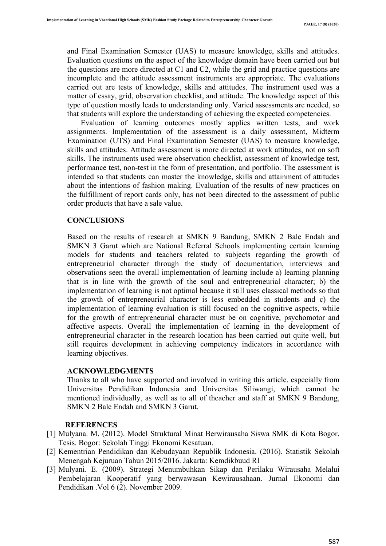and Final Examination Semester (UAS) to measure knowledge, skills and attitudes. Evaluation questions on the aspect of the knowledge domain have been carried out but the questions are more directed at C1 and C2, while the grid and practice questions are incomplete and the attitude assessment instruments are appropriate. The evaluations carried out are tests of knowledge, skills and attitudes. The instrument used was a matter of essay, grid, observation checklist, and attitude. The knowledge aspect of this type of question mostly leads to understanding only. Varied assessments are needed, so that students will explore the understanding of achieving the expected competencies.

 Evaluation of learning outcomes mostly applies written tests, and work assignments. Implementation of the assessment is a daily assessment, Midterm Examination (UTS) and Final Examination Semester (UAS) to measure knowledge, skills and attitudes. Attitude assessment is more directed at work attitudes, not on soft skills. The instruments used were observation checklist, assessment of knowledge test, performance test, non-test in the form of presentation, and portfolio. The assessment is intended so that students can master the knowledge, skills and attainment of attitudes about the intentions of fashion making. Evaluation of the results of new practices on the fulfillment of report cards only, has not been directed to the assessment of public order products that have a sale value.

#### **CONCLUSIONS**

Based on the results of research at SMKN 9 Bandung, SMKN 2 Bale Endah and SMKN 3 Garut which are National Referral Schools implementing certain learning models for students and teachers related to subjects regarding the growth of entrepreneurial character through the study of documentation, interviews and observations seen the overall implementation of learning include a) learning planning that is in line with the growth of the soul and entrepreneurial character; b) the implementation of learning is not optimal because it still uses classical methods so that the growth of entrepreneurial character is less embedded in students and c) the implementation of learning evaluation is still focused on the cognitive aspects, while for the growth of entrepreneurial character must be on cognitive, psychomotor and affective aspects. Overall the implementation of learning in the development of entrepreneurial character in the research location has been carried out quite well, but still requires development in achieving competency indicators in accordance with learning objectives.

#### **ACKNOWLEDGMENTS**

Thanks to all who have supported and involved in writing this article, especially from Universitas Pendidikan Indonesia and Universitas Siliwangi, which cannot be mentioned individually, as well as to all of theacher and staff at SMKN 9 Bandung, SMKN 2 Bale Endah and SMKN 3 Garut.

## **REFERENCES**

- [1] Mulyana. M. (2012). Model Struktural Minat Berwirausaha Siswa SMK di Kota Bogor. Tesis. Bogor: Sekolah Tinggi Ekonomi Kesatuan.
- [2] Kementrian Pendidikan dan Kebudayaan Republik Indonesia. (2016). Statistik Sekolah Menengah Kejuruan Tahun 2015/2016. Jakarta: Kemdikbuud RI
- [3] Mulyani. E. (2009). Strategi Menumbuhkan Sikap dan Perilaku Wirausaha Melalui Pembelajaran Kooperatif yang berwawasan Kewirausahaan. Jurnal Ekonomi dan Pendidikan .Vol 6 (2). November 2009.